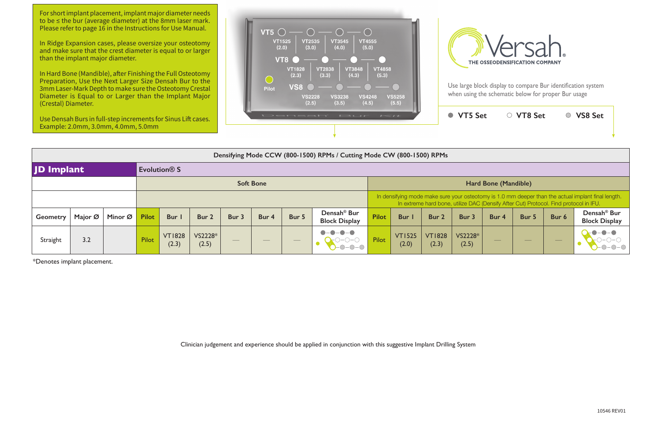| $\sqrt{11}$                                                                                                                                                                                 |                        |                        | <b>VT5 Set</b>   |       | ○ VT8 Set |       | <b>VS8 Set</b>                                  |  |  |  |  |  |  |  |  |
|---------------------------------------------------------------------------------------------------------------------------------------------------------------------------------------------|------------------------|------------------------|------------------|-------|-----------|-------|-------------------------------------------------|--|--|--|--|--|--|--|--|
|                                                                                                                                                                                             | le CW (800-1500) RPMs  |                        |                  |       |           |       |                                                 |  |  |  |  |  |  |  |  |
|                                                                                                                                                                                             |                        |                        |                  |       |           |       |                                                 |  |  |  |  |  |  |  |  |
| Hard Bone (Mandible)                                                                                                                                                                        |                        |                        |                  |       |           |       |                                                 |  |  |  |  |  |  |  |  |
| In densifying mode make sure your osteotomy is 1.0 mm deeper than the actual implant final length.<br>In extreme hard bone, utilize DAC (Densify After Cut) Protocol. Find protocol in IFU. |                        |                        |                  |       |           |       |                                                 |  |  |  |  |  |  |  |  |
| ilot                                                                                                                                                                                        | Bur I                  | Bur 2                  | Bur 3            | Bur 4 | Bur 5     | Bur 6 | Densah <sup>®</sup> Bur<br><b>Block Display</b> |  |  |  |  |  |  |  |  |
| ilot                                                                                                                                                                                        | <b>VT1525</b><br>(2.0) | <b>VT1828</b><br>(2.3) | VS2228*<br>(2.5) |       |           |       |                                                 |  |  |  |  |  |  |  |  |

|                   | Densifying Mode CCW (800-1500) RPMs / Cutting Mode CW (800-1500) RPMs |         |                          |                        |                  |                          |                                |                                |                                                 |                      |                        |                                                                                                                                                                                             |                  |       |       |       |                                                 |  |  |  |  |
|-------------------|-----------------------------------------------------------------------|---------|--------------------------|------------------------|------------------|--------------------------|--------------------------------|--------------------------------|-------------------------------------------------|----------------------|------------------------|---------------------------------------------------------------------------------------------------------------------------------------------------------------------------------------------|------------------|-------|-------|-------|-------------------------------------------------|--|--|--|--|
| <b>JD Implant</b> |                                                                       |         | Evolution <sup>®</sup> S |                        |                  |                          |                                |                                |                                                 |                      |                        |                                                                                                                                                                                             |                  |       |       |       |                                                 |  |  |  |  |
|                   |                                                                       |         |                          |                        |                  |                          | <b>Soft Bone</b>               |                                |                                                 | Hard Bone (Mandible) |                        |                                                                                                                                                                                             |                  |       |       |       |                                                 |  |  |  |  |
|                   |                                                                       |         |                          |                        |                  |                          |                                |                                |                                                 |                      |                        | In densifying mode make sure your osteotomy is 1.0 mm deeper than the actual implant final length.<br>In extreme hard bone, utilize DAC (Densify After Cut) Protocol. Find protocol in IFU. |                  |       |       |       |                                                 |  |  |  |  |
| <b>Geometry</b>   | Major Ø                                                               | Minor Ø | <b>Pilot</b>             | <b>Bur</b>             | Bur 2            | Bur 3                    | Bur 4                          | Bur 5                          | Densah <sup>®</sup> Bur<br><b>Block Display</b> | <b>Pilot</b>         | Bur I                  | Bur 2                                                                                                                                                                                       | Bur 3            | Bur 4 | Bur 5 | Bur 6 | Densah <sup>®</sup> Bur<br><b>Block Display</b> |  |  |  |  |
| Straight          | 3.2                                                                   |         | Pilot                    | <b>VT1828</b><br>(2.3) | VS2228*<br>(2.5) | $\qquad \qquad - \qquad$ | $\overbrace{\hspace{25mm}}^{}$ | $\overbrace{\hspace{25mm}}^{}$ | $\bullet - \bullet$<br>$\bullet$<br>$-0-0-0$    | Pilot                | <b>VT1525</b><br>(2.0) | <b>VT1828</b><br>(2.3)                                                                                                                                                                      | VS2228*<br>(2.5) | $-$   |       |       | $\bullet - \bullet$<br>$O-O-$                   |  |  |  |  |

For short implant placement, implant major diameter needs to be ≤ the bur (average diameter) at the 8mm laser mark. Please refer to page 16 in the Instructions for Use Manual.

\*Denotes implant placement.

Clinician judgement and experience should be applied in conjunction with this suggestive Implant Drilling System

In Ridge Expansion cases, please oversize your osteotomy and make sure that the crest diameter is equal to or larger than the implant major diameter.

In Hard Bone (Mandible), after Finishing the Full Osteotomy Preparation, Use the Next Larger Size Densah Bur to the 3mm Laser-Mark Depth to make sure the Osteotomy Crestal Diameter is Equal to or Larger than the Implant Major (Crestal) Diameter.

Use Densah Burs in full-step increments for Sinus Lift cases. Example: 2.0mm, 3.0mm, 4.0mm, 5.0mm



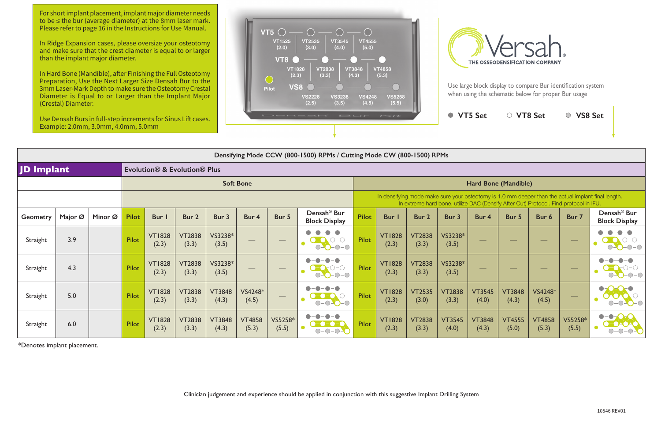**VT5 Set VT8 Set VS8 Set**

For short implant placement, implant major diameter needs to be ≤ the bur (average diameter) at the 8mm laser mark. Please refer to page 16 in the Instructions for Use Manual.

Use Densah Burs in full-step increments for Sinus Lift cases. Example:  $2.0$ mm,  $3.0$ mm,  $4.0$ mm,  $5.0$ mm





In Ridge Expansion cases, please oversize your osteotomy and make sure that the crest diameter is equal to or larger than the implant major diameter.

In Hard Bone (Mandible), after Finishing the Full Osteotomy Preparation, Use the Next Larger Size Densah Bur to the 3mm Laser-Mark Depth to make sure the Osteotomy Crestal Diameter is Equal to or Larger than the Implant Major (Crestal) Diameter.

|                                                   | $\sum_{i=1}^{n}$                                                      |         |              |                        |                        |                        |                          |                                                                                                                                                                                                                                                                                                                                                                                                                                                                            |                                                 |                                                                                                                                                                                             |                        |                        |                        |                        |                        |                          |                          |                                                 |  |
|---------------------------------------------------|-----------------------------------------------------------------------|---------|--------------|------------------------|------------------------|------------------------|--------------------------|----------------------------------------------------------------------------------------------------------------------------------------------------------------------------------------------------------------------------------------------------------------------------------------------------------------------------------------------------------------------------------------------------------------------------------------------------------------------------|-------------------------------------------------|---------------------------------------------------------------------------------------------------------------------------------------------------------------------------------------------|------------------------|------------------------|------------------------|------------------------|------------------------|--------------------------|--------------------------|-------------------------------------------------|--|
|                                                   | Densifying Mode CCW (800-1500) RPMs / Cutting Mode CW (800-1500) RPMs |         |              |                        |                        |                        |                          |                                                                                                                                                                                                                                                                                                                                                                                                                                                                            |                                                 |                                                                                                                                                                                             |                        |                        |                        |                        |                        |                          |                          |                                                 |  |
| <b>JD Implant</b><br>Evolution® & Evolution® Plus |                                                                       |         |              |                        |                        |                        |                          |                                                                                                                                                                                                                                                                                                                                                                                                                                                                            |                                                 |                                                                                                                                                                                             |                        |                        |                        |                        |                        |                          |                          |                                                 |  |
|                                                   |                                                                       |         |              |                        |                        | <b>Soft Bone</b>       |                          |                                                                                                                                                                                                                                                                                                                                                                                                                                                                            |                                                 |                                                                                                                                                                                             |                        |                        | Hard Bone (Mandible)   |                        |                        |                          |                          |                                                 |  |
|                                                   |                                                                       |         |              |                        |                        |                        |                          |                                                                                                                                                                                                                                                                                                                                                                                                                                                                            |                                                 | In densifying mode make sure your osteotomy is 1.0 mm deeper than the actual implant final length.<br>In extreme hard bone, utilize DAC (Densify After Cut) Protocol. Find protocol in IFU. |                        |                        |                        |                        |                        |                          |                          |                                                 |  |
| <b>Geometry</b>                                   | Major Ø                                                               | Minor Ø | <b>Pilot</b> | Bur I                  | Bur 2                  | Bur 3                  | Bur 4                    | Bur 5                                                                                                                                                                                                                                                                                                                                                                                                                                                                      | Densah <sup>®</sup> Bur<br><b>Block Display</b> | <b>Pilot</b>                                                                                                                                                                                | Bur                    | Bur 2                  | Bur 3                  | Bur 4                  | Bur 5                  | Bur 6                    | Bur 7                    | Densah <sup>®</sup> Bur<br><b>Block Display</b> |  |
| Straight                                          | 3.9                                                                   |         | Pilot        | <b>VT1828</b><br>(2.3) | <b>VT2838</b><br>(3.3) | VS3238*<br>(3.5)       |                          | $\overbrace{\phantom{aaaaa}}^{x}$                                                                                                                                                                                                                                                                                                                                                                                                                                          | 0-0<br>$O-O-O-O$                                | Pilot                                                                                                                                                                                       | <b>VT1828</b><br>(2.3) | <b>VT2838</b><br>(3.3) | VS3238*<br>(3.5)       | __                     |                        | $\overline{\phantom{a}}$ | $\hspace{0.05cm}$        | $-\bigcirc$                                     |  |
| Straight                                          | 4.3                                                                   |         | Pilot        | <b>VT1828</b><br>(2.3) | <b>VT2838</b><br>(3.3) | VS3238*<br>(3.5)       | $\overline{\phantom{a}}$ | $\hspace{0.05cm}$                                                                                                                                                                                                                                                                                                                                                                                                                                                          | $O-O-O-O$                                       | Pilot                                                                                                                                                                                       | <b>VT1828</b><br>(2.3) | <b>VT2838</b><br>(3.3) | VS3238*<br>(3.5)       |                        |                        | __                       | $\hspace{0.1cm} -$       | $-O$ - $O$                                      |  |
| Straight                                          | 5.0                                                                   |         | Pilot        | <b>VT1828</b><br>(2.3) | <b>VT2838</b><br>(3.3) | <b>VT3848</b><br>(4.3) | VS4248*<br>(4.5)         | $\frac{1}{2} \left( \frac{1}{2} \right) \left( \frac{1}{2} \right) \left( \frac{1}{2} \right) \left( \frac{1}{2} \right) \left( \frac{1}{2} \right) \left( \frac{1}{2} \right) \left( \frac{1}{2} \right) \left( \frac{1}{2} \right) \left( \frac{1}{2} \right) \left( \frac{1}{2} \right) \left( \frac{1}{2} \right) \left( \frac{1}{2} \right) \left( \frac{1}{2} \right) \left( \frac{1}{2} \right) \left( \frac{1}{2} \right) \left( \frac{1}{2} \right) \left( \frac$ | $O-O-O-O$                                       | Pilot                                                                                                                                                                                       | <b>VT1828</b><br>(2.3) | <b>VT2535</b><br>(3.0) | <b>VT2838</b><br>(3.3) | <b>VT3545</b><br>(4.0) | <b>VT3848</b><br>(4.3) | VS4248*<br>(4.5)         | $\overline{\phantom{m}}$ | $\bullet$<br>$\bigcirc$ - $\bigcirc$            |  |
| Straight                                          | 6.0                                                                   |         | Pilot        | <b>VT1828</b><br>(2.3) | <b>VT2838</b><br>(3.3) | <b>VT3848</b><br>(4.3) | <b>VT4858</b><br>(5.3)   | VS5258*<br>(5.5)                                                                                                                                                                                                                                                                                                                                                                                                                                                           | -0-0<br>$ \bigcirc$ $ \bigcirc$                 | Pilot                                                                                                                                                                                       | <b>VT1828</b><br>(2.3) | <b>VT2838</b><br>(3.3) | <b>VT3545</b><br>(4.0) | <b>VT3848</b><br>(4.3) | <b>VT4555</b><br>(5.0) | <b>VT4858</b><br>(5.3)   | VS5258*<br>(5.5)         | $\bullet$<br>-0                                 |  |

\*Denotes implant placement.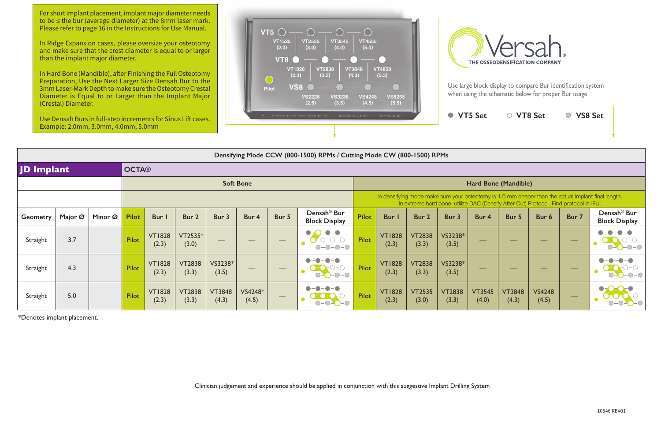Clinician judgement and experience should be applied in conjunction with this suggestive Implant Drilling System

For short implant placement, implant major diameter needs to be ≤ the bur (average diameter) at the 8mm laser mark. Please refer to page 16 in the Instructions for Use Manual.

In Ridge Expansion cases, please oversize your osteotomy and make sure that the crest diameter is equal to or larger than the implant major diameter.

In Hard Bone (Mandible), after Finishing the Full Osteotomy Preparation, Use the Next Larger Size Densah Bur to the 3mm Laser-Mark Depth to make sure the Osteotomy Crestal Diameter is Equal to or Larger than the Implant Major (Crestal) Diameter.





| Use Densah Burs in full-step increments for Sinus Lift cases.<br>Example: 2.0mm, 3.0mm, 4.0mm, 5.0mm |                            |         |              |                        |                        |                        | Densah' Bur<br>$\sim$ |                   |                                                 |                                                                                                                                                                                             |                        |                        |                        | <b>VT5 Set</b>         | ○ VT8 Set              |                        | <b>VS8 Set</b><br>$\bigcirc$ |                                                 |  |
|------------------------------------------------------------------------------------------------------|----------------------------|---------|--------------|------------------------|------------------------|------------------------|-----------------------|-------------------|-------------------------------------------------|---------------------------------------------------------------------------------------------------------------------------------------------------------------------------------------------|------------------------|------------------------|------------------------|------------------------|------------------------|------------------------|------------------------------|-------------------------------------------------|--|
|                                                                                                      |                            |         |              |                        |                        |                        |                       |                   |                                                 |                                                                                                                                                                                             |                        |                        |                        |                        |                        |                        |                              |                                                 |  |
| Densifying Mode CCW (800-1500) RPMs / Cutting Mode CW (800-1500) RPMs                                |                            |         |              |                        |                        |                        |                       |                   |                                                 |                                                                                                                                                                                             |                        |                        |                        |                        |                        |                        |                              |                                                 |  |
|                                                                                                      | JD Implant<br><b>OCTA®</b> |         |              |                        |                        |                        |                       |                   |                                                 |                                                                                                                                                                                             |                        |                        |                        |                        |                        |                        |                              |                                                 |  |
| <b>Soft Bone</b>                                                                                     |                            |         |              |                        |                        |                        |                       |                   |                                                 | Hard Bone (Mandible)                                                                                                                                                                        |                        |                        |                        |                        |                        |                        |                              |                                                 |  |
|                                                                                                      |                            |         |              |                        |                        |                        |                       |                   |                                                 | In densifying mode make sure your osteotomy is 1.0 mm deeper than the actual implant final length.<br>In extreme hard bone, utilize DAC (Densify After Cut) Protocol. Find protocol in IFU. |                        |                        |                        |                        |                        |                        |                              |                                                 |  |
| <b>Geometry</b>                                                                                      | Major Ø                    | Minor Ø | <b>Pilot</b> | Bur                    | Bur 2                  | Bur 3                  | Bur 4                 | Bur 5             | Densah <sup>®</sup> Bur<br><b>Block Display</b> | <b>Pilot</b>                                                                                                                                                                                | Bur                    | Bur 2                  | Bur 3                  | Bur 4                  | Bur 5                  | Bur 6                  | Bur 7                        | Densah <sup>®</sup> Bur<br><b>Block Display</b> |  |
| Straight                                                                                             | 3.7                        |         | Pilot        | <b>VT1828</b><br>(2.3) | VT2535*<br>(3.0)       | $\hspace{0.05cm}$      | $\frac{1}{1}$         | $\hspace{0.05cm}$ | $O$ -0-0-0<br>$O-O-O-O$                         | Pilot                                                                                                                                                                                       | <b>VT1828</b><br>(2.3) | <b>VT2838</b><br>(3.3) | VS3238*<br>(3.5)       |                        |                        |                        | $\hspace{0.1cm} -$           |                                                 |  |
| Straight                                                                                             | 4.3                        |         | Pilot        | <b>VT1828</b><br>(2.3) | <b>VT2838</b><br>(3.3) | VS3238*<br>(3.5)       |                       |                   | -0<br>0-0<br>$O-O-O-O$                          | Pilot                                                                                                                                                                                       | <b>VT1828</b><br>(2.3) | <b>VT2838</b><br>(3.3) | VS3238*<br>(3.5)       |                        |                        |                        |                              | $-O$ - $O$                                      |  |
| Straight                                                                                             | 5.0                        |         | Pilot        | <b>VT1828</b><br>(2.3) | <b>VT2838</b><br>(3.3) | <b>VT3848</b><br>(4.3) | VS4248*<br>(4.5)      | $\hspace{0.05cm}$ | $O-O-O-O$                                       | Pilot                                                                                                                                                                                       | <b>VT1828</b><br>(2.3) | <b>VT2535</b><br>(3.0) | <b>VT2838</b><br>(3.3) | <b>VT3545</b><br>(4.0) | <b>VT3848</b><br>(4.3) | <b>VS4248</b><br>(4.5) | $\overline{\phantom{m}}$     | $\bullet$                                       |  |

\*Denotes implant placement.